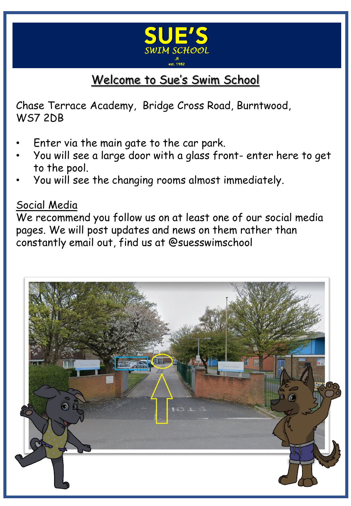

# Welcome to Sue's Swim School

Chase Terrace Academy, Bridge Cross Road, Burntwood, WS7 2DB

- Enter via the main gate to the car park.
- You will see a large door with a glass front- enter here to get to the pool.
- You will see the changing rooms almost immediately.

#### Social Media

We recommend you follow us on at least one of our social media pages. We will post updates and news on them rather than constantly email out, find us at @suesswimschool